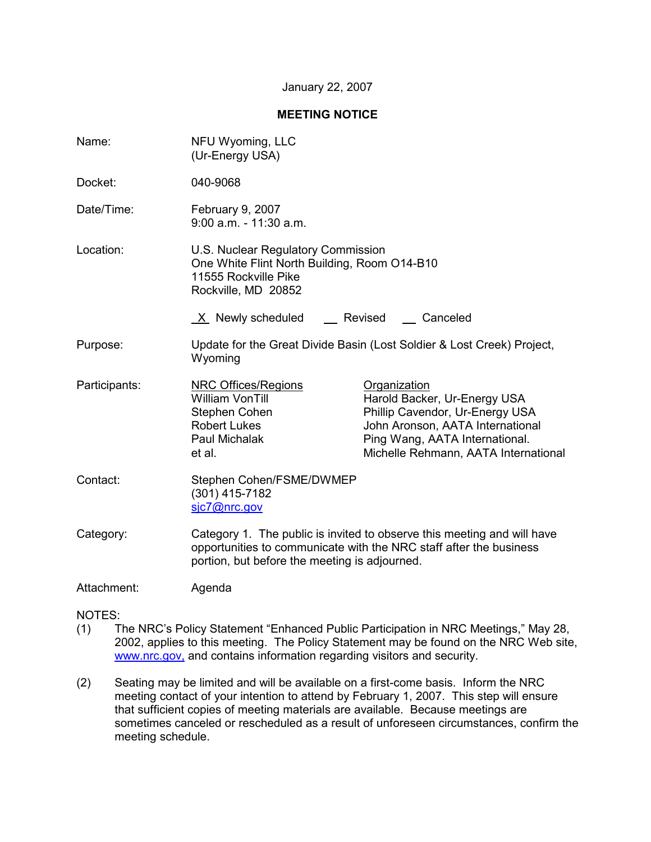### January 22, 2007

### **MEETING NOTICE**

| Name:         | NFU Wyoming, LLC<br>(Ur-Energy USA)                                                                                                                                                            |                                                                                                                                                                                               |  |
|---------------|------------------------------------------------------------------------------------------------------------------------------------------------------------------------------------------------|-----------------------------------------------------------------------------------------------------------------------------------------------------------------------------------------------|--|
| Docket:       | 040-9068                                                                                                                                                                                       |                                                                                                                                                                                               |  |
| Date/Time:    | February 9, 2007<br>$9:00$ a.m. $-11:30$ a.m.                                                                                                                                                  |                                                                                                                                                                                               |  |
| Location:     | U.S. Nuclear Regulatory Commission<br>One White Flint North Building, Room O14-B10<br>11555 Rockville Pike<br>Rockville, MD 20852                                                              |                                                                                                                                                                                               |  |
|               | X Newly scheduled __ Revised __ Canceled                                                                                                                                                       |                                                                                                                                                                                               |  |
| Purpose:      | Update for the Great Divide Basin (Lost Soldier & Lost Creek) Project,<br>Wyoming                                                                                                              |                                                                                                                                                                                               |  |
| Participants: | <b>NRC Offices/Regions</b><br><b>William VonTill</b><br>Stephen Cohen<br><b>Robert Lukes</b><br>Paul Michalak<br>et al.                                                                        | Organization<br>Harold Backer, Ur-Energy USA<br>Phillip Cavendor, Ur-Energy USA<br>John Aronson, AATA International<br>Ping Wang, AATA International.<br>Michelle Rehmann, AATA International |  |
| Contact:      | Stephen Cohen/FSME/DWMEP<br>$(301)$ 415-7182<br>sic7@nrc.gov                                                                                                                                   |                                                                                                                                                                                               |  |
| Category:     | Category 1. The public is invited to observe this meeting and will have<br>opportunities to communicate with the NRC staff after the business<br>portion, but before the meeting is adjourned. |                                                                                                                                                                                               |  |
| Attachment:   | Agenda                                                                                                                                                                                         |                                                                                                                                                                                               |  |

## NOTES:

- (1) The NRC's Policy Statement "Enhanced Public Participation in NRC Meetings," May 28, 2002, applies to this meeting. The Policy Statement may be found on the NRC Web site, www.nrc.gov, and contains information regarding visitors and security.
- (2) Seating may be limited and will be available on a first-come basis. Inform the NRC meeting contact of your intention to attend by February 1, 2007. This step will ensure that sufficient copies of meeting materials are available. Because meetings are sometimes canceled or rescheduled as a result of unforeseen circumstances, confirm the meeting schedule.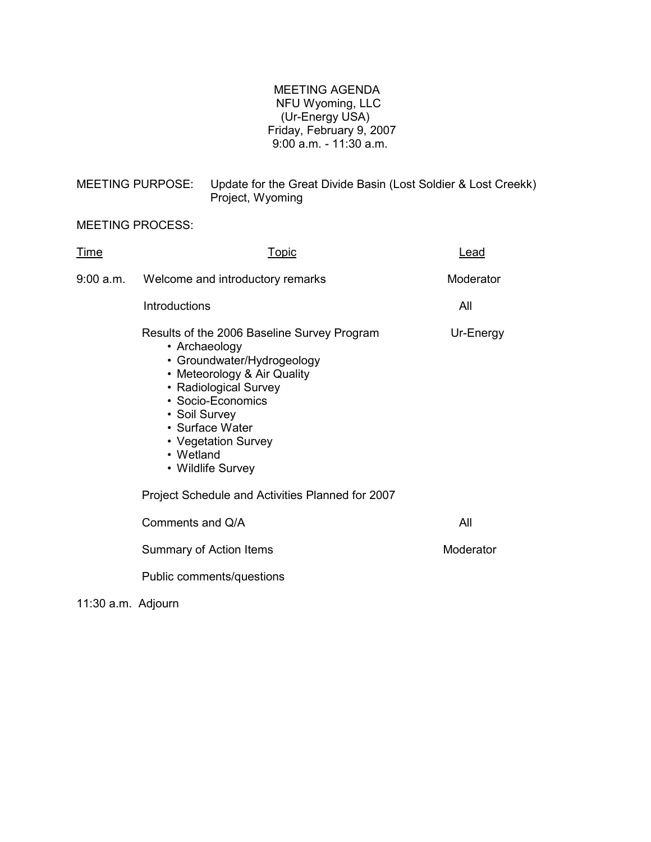# MEETING AGENDA NFU Wyoming, LLC (Ur-Energy USA) Friday, February 9, 2007 9:00 a.m. - 11:30 a.m.

| MEETING PURPOSE: | Update for the Great Divide Basin (Lost Soldier & Lost Creekk)<br>Project, Wyoming |
|------------------|------------------------------------------------------------------------------------|
|                  |                                                                                    |

# MEETING PROCESS:

| Time | <u>Topic</u>                                                                                                                                                                                                                                                         | Lead      |
|------|----------------------------------------------------------------------------------------------------------------------------------------------------------------------------------------------------------------------------------------------------------------------|-----------|
|      | 9:00 a.m. Welcome and introductory remarks                                                                                                                                                                                                                           | Moderator |
|      | Introductions                                                                                                                                                                                                                                                        | All       |
|      | Results of the 2006 Baseline Survey Program<br>• Archaeology<br>• Groundwater/Hydrogeology<br>• Meteorology & Air Quality<br>• Radiological Survey<br>• Socio-Economics<br>• Soil Survey<br>• Surface Water<br>• Vegetation Survey<br>• Wetland<br>• Wildlife Survey | Ur-Energy |
|      | Project Schedule and Activities Planned for 2007                                                                                                                                                                                                                     |           |
|      | Comments and Q/A                                                                                                                                                                                                                                                     | All       |
|      | Summary of Action Items                                                                                                                                                                                                                                              | Moderator |
|      | Public comments/questions                                                                                                                                                                                                                                            |           |

11:30 a.m. Adjourn